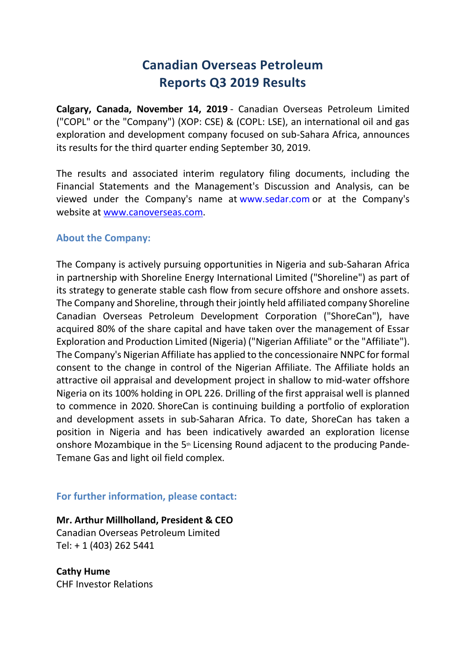## **Canadian Overseas Petroleum Reports Q3 2019 Results**

**Calgary, Canada, November 14, 2019** - Canadian Overseas Petroleum Limited ("COPL" or the "Company") (XOP: CSE) & (COPL: LSE), an international oil and gas exploration and development company focused on sub-Sahara Africa, announces its results for the third quarter ending September 30, 2019.

The results and associated interim regulatory filing documents, including the Financial Statements and the Management's Discussion and Analysis, can be viewed under the Company's name at www.sedar.com or at the Company's website at www.canoverseas.com.

## **About the Company:**

The Company is actively pursuing opportunities in Nigeria and sub-Saharan Africa in partnership with Shoreline Energy International Limited ("Shoreline") as part of its strategy to generate stable cash flow from secure offshore and onshore assets. The Company and Shoreline, through their jointly held affiliated company Shoreline Canadian Overseas Petroleum Development Corporation ("ShoreCan"), have acquired 80% of the share capital and have taken over the management of Essar Exploration and Production Limited (Nigeria) ("Nigerian Affiliate" or the "Affiliate"). The Company's Nigerian Affiliate has applied to the concessionaire NNPC for formal consent to the change in control of the Nigerian Affiliate. The Affiliate holds an attractive oil appraisal and development project in shallow to mid-water offshore Nigeria on its 100% holding in OPL 226. Drilling of the first appraisal well is planned to commence in 2020. ShoreCan is continuing building a portfolio of exploration and development assets in sub-Saharan Africa. To date, ShoreCan has taken a position in Nigeria and has been indicatively awarded an exploration license onshore Mozambique in the 5<sup>th</sup> Licensing Round adjacent to the producing Pande-Temane Gas and light oil field complex.

## **For further information, please contact:**

**Mr. Arthur Millholland, President & CEO** Canadian Overseas Petroleum Limited Tel: + 1 (403) 262 5441

**Cathy Hume** CHF Investor Relations